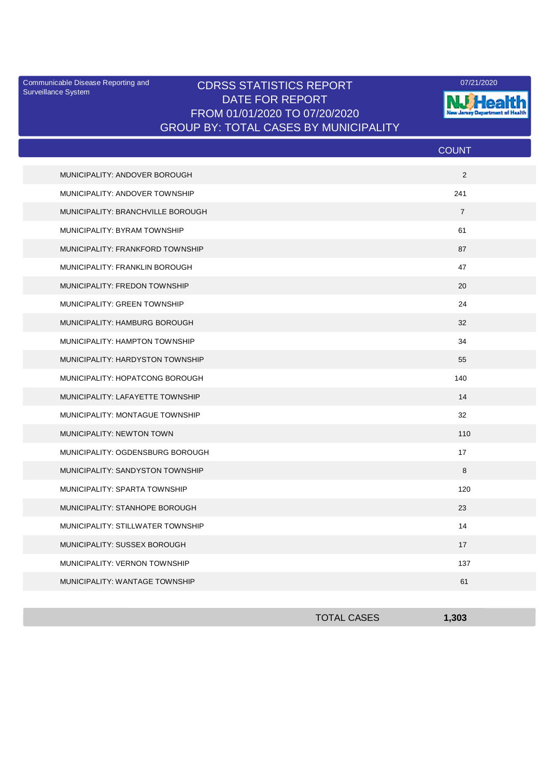Surveillance System

## Communicable Disease Reporting and CDRSS STATISTICS REPORT **COMMUNICAL COMMUNICATION** DATE FOR REPORT FROM 01/01/2020 TO 07/20/2020 GROUP BY: TOTAL CASES BY MUNICIPALITY



|                                   | <b>COUNT</b>   |
|-----------------------------------|----------------|
| MUNICIPALITY: ANDOVER BOROUGH     | 2              |
| MUNICIPALITY: ANDOVER TOWNSHIP    | 241            |
| MUNICIPALITY: BRANCHVILLE BOROUGH | $\overline{7}$ |
| MUNICIPALITY: BYRAM TOWNSHIP      | 61             |
| MUNICIPALITY: FRANKFORD TOWNSHIP  | 87             |
| MUNICIPALITY: FRANKLIN BOROUGH    | 47             |
| MUNICIPALITY: FREDON TOWNSHIP     | 20             |
| MUNICIPALITY: GREEN TOWNSHIP      | 24             |
| MUNICIPALITY: HAMBURG BOROUGH     | 32             |
| MUNICIPALITY: HAMPTON TOWNSHIP    | 34             |
| MUNICIPALITY: HARDYSTON TOWNSHIP  | 55             |
| MUNICIPALITY: HOPATCONG BOROUGH   | 140            |
| MUNICIPALITY: LAFAYETTE TOWNSHIP  | 14             |
| MUNICIPALITY: MONTAGUE TOWNSHIP   | 32             |
| MUNICIPALITY: NEWTON TOWN         | 110            |
| MUNICIPALITY: OGDENSBURG BOROUGH  | 17             |
| MUNICIPALITY: SANDYSTON TOWNSHIP  | 8              |
| MUNICIPALITY: SPARTA TOWNSHIP     | 120            |
| MUNICIPALITY: STANHOPE BOROUGH    | 23             |
| MUNICIPALITY: STILLWATER TOWNSHIP | 14             |
| MUNICIPALITY: SUSSEX BOROUGH      | 17             |
| MUNICIPALITY: VERNON TOWNSHIP     | 137            |
| MUNICIPALITY: WANTAGE TOWNSHIP    | 61             |

| <b>TOTAL CASES</b> | 1,303 |
|--------------------|-------|
|                    |       |